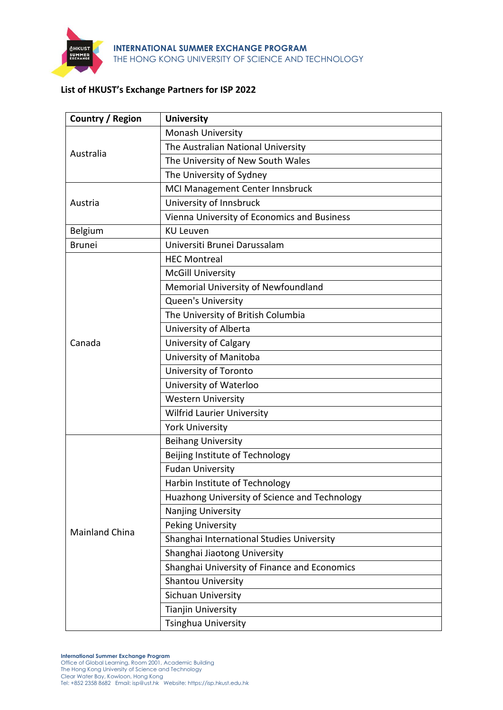

# **List of HKUST's Exchange Partners for ISP 2022**

| Country / Region      | <b>University</b>                             |
|-----------------------|-----------------------------------------------|
| Australia             | Monash University                             |
|                       | The Australian National University            |
|                       | The University of New South Wales             |
|                       | The University of Sydney                      |
|                       | MCI Management Center Innsbruck               |
| Austria               | University of Innsbruck                       |
|                       | Vienna University of Economics and Business   |
| Belgium               | <b>KU Leuven</b>                              |
| <b>Brunei</b>         | Universiti Brunei Darussalam                  |
|                       | <b>HEC Montreal</b>                           |
|                       | <b>McGill University</b>                      |
|                       | Memorial University of Newfoundland           |
|                       | Queen's University                            |
|                       | The University of British Columbia            |
|                       | University of Alberta                         |
| Canada                | <b>University of Calgary</b>                  |
|                       | University of Manitoba                        |
|                       | University of Toronto                         |
|                       | University of Waterloo                        |
|                       | <b>Western University</b>                     |
|                       | <b>Wilfrid Laurier University</b>             |
|                       | <b>York University</b>                        |
|                       | <b>Beihang University</b>                     |
|                       | Beijing Institute of Technology               |
|                       | <b>Fudan University</b>                       |
|                       | Harbin Institute of Technology                |
|                       | Huazhong University of Science and Technology |
|                       | Nanjing University                            |
| <b>Mainland China</b> | <b>Peking University</b>                      |
|                       | Shanghai International Studies University     |
|                       | Shanghai Jiaotong University                  |
|                       | Shanghai University of Finance and Economics  |
|                       | Shantou University                            |
|                       | Sichuan University                            |
|                       | <b>Tianjin University</b>                     |
|                       | Tsinghua University                           |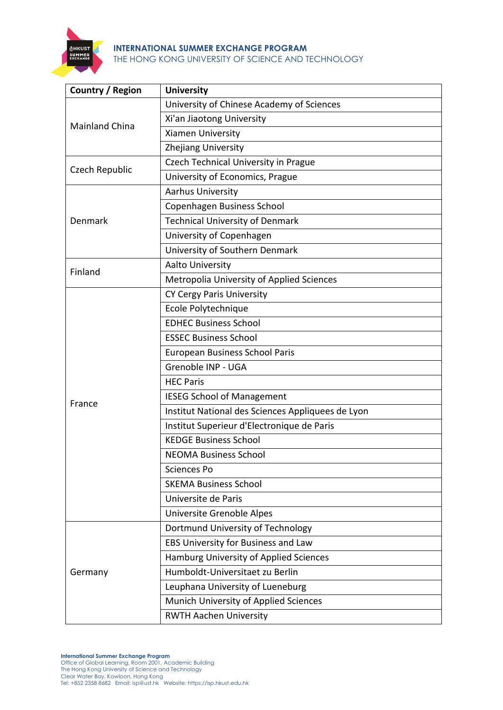

| Country / Region      | <b>University</b>                                 |
|-----------------------|---------------------------------------------------|
|                       | University of Chinese Academy of Sciences         |
| <b>Mainland China</b> | Xi'an Jiaotong University                         |
|                       | Xiamen University                                 |
|                       | <b>Zhejiang University</b>                        |
| Czech Republic        | <b>Czech Technical University in Prague</b>       |
|                       | University of Economics, Prague                   |
|                       | <b>Aarhus University</b>                          |
|                       | Copenhagen Business School                        |
| Denmark               | <b>Technical University of Denmark</b>            |
|                       | University of Copenhagen                          |
|                       | University of Southern Denmark                    |
| Finland               | <b>Aalto University</b>                           |
|                       | Metropolia University of Applied Sciences         |
|                       | CY Cergy Paris University                         |
|                       | Ecole Polytechnique                               |
|                       | <b>EDHEC Business School</b>                      |
|                       | <b>ESSEC Business School</b>                      |
|                       | European Business School Paris                    |
|                       | Grenoble INP - UGA                                |
|                       | <b>HEC Paris</b>                                  |
| France                | <b>IESEG School of Management</b>                 |
|                       | Institut National des Sciences Appliquees de Lyon |
|                       | Institut Superieur d'Electronique de Paris        |
|                       | <b>KEDGE Business School</b>                      |
|                       | <b>NEOMA Business School</b>                      |
|                       | Sciences Po                                       |
|                       | <b>SKEMA Business School</b>                      |
|                       | Universite de Paris                               |
|                       | Universite Grenoble Alpes                         |
| Germany               | Dortmund University of Technology                 |
|                       | EBS University for Business and Law               |
|                       | Hamburg University of Applied Sciences            |
|                       | Humboldt-Universitaet zu Berlin                   |
|                       | Leuphana University of Lueneburg                  |
|                       | Munich University of Applied Sciences             |
|                       | <b>RWTH Aachen University</b>                     |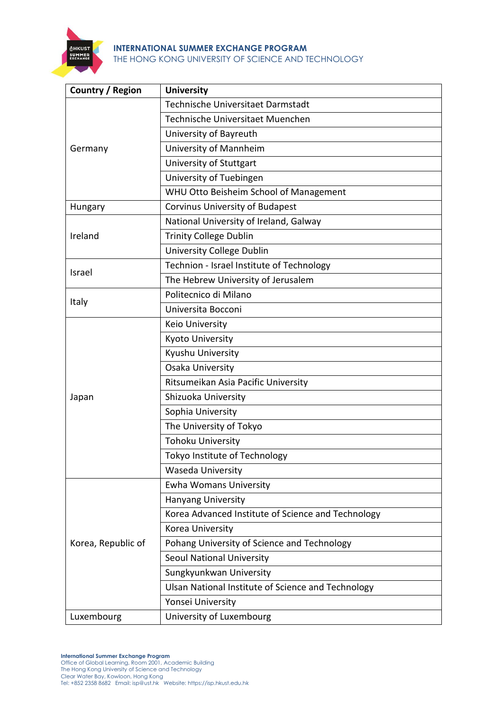

| Country / Region   | <b>University</b>                                  |
|--------------------|----------------------------------------------------|
|                    | Technische Universitaet Darmstadt                  |
|                    | Technische Universitaet Muenchen                   |
|                    | University of Bayreuth                             |
| Germany            | University of Mannheim                             |
|                    | University of Stuttgart                            |
|                    | University of Tuebingen                            |
|                    | WHU Otto Beisheim School of Management             |
| Hungary            | Corvinus University of Budapest                    |
|                    | National University of Ireland, Galway             |
| Ireland            | <b>Trinity College Dublin</b>                      |
|                    | University College Dublin                          |
| Israel             | Technion - Israel Institute of Technology          |
|                    | The Hebrew University of Jerusalem                 |
| Italy              | Politecnico di Milano                              |
|                    | Universita Bocconi                                 |
|                    | Keio University                                    |
|                    | Kyoto University                                   |
|                    | Kyushu University                                  |
|                    | Osaka University                                   |
|                    | Ritsumeikan Asia Pacific University                |
| Japan              | Shizuoka University                                |
|                    | Sophia University                                  |
|                    | The University of Tokyo                            |
|                    | <b>Tohoku University</b>                           |
|                    | Tokyo Institute of Technology                      |
|                    | Waseda University                                  |
|                    | <b>Ewha Womans University</b>                      |
|                    | <b>Hanyang University</b>                          |
|                    | Korea Advanced Institute of Science and Technology |
|                    | Korea University                                   |
| Korea, Republic of | Pohang University of Science and Technology        |
|                    | <b>Seoul National University</b>                   |
|                    | Sungkyunkwan University                            |
|                    | Ulsan National Institute of Science and Technology |
|                    | Yonsei University                                  |
| Luxembourg         | University of Luxembourg                           |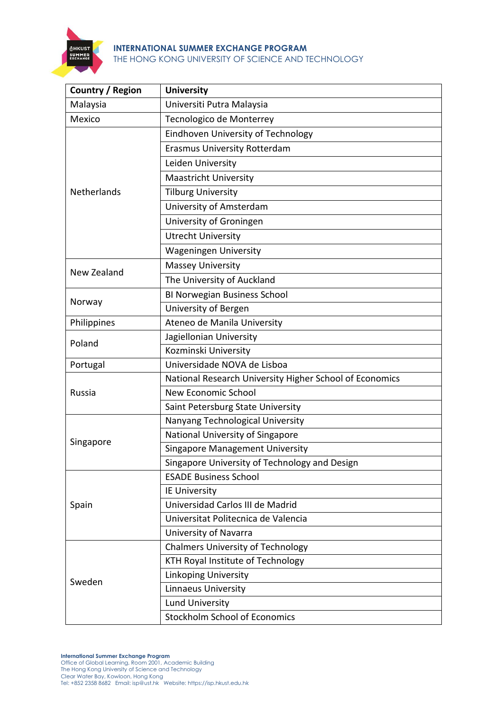

| Country / Region   | <b>University</b>                                       |
|--------------------|---------------------------------------------------------|
| Malaysia           | Universiti Putra Malaysia                               |
| Mexico             | Tecnologico de Monterrey                                |
|                    | Eindhoven University of Technology                      |
|                    | <b>Erasmus University Rotterdam</b>                     |
| Netherlands        | Leiden University                                       |
|                    | <b>Maastricht University</b>                            |
|                    | <b>Tilburg University</b>                               |
|                    | University of Amsterdam                                 |
|                    | University of Groningen                                 |
|                    | <b>Utrecht University</b>                               |
|                    | <b>Wageningen University</b>                            |
|                    | <b>Massey University</b>                                |
| <b>New Zealand</b> | The University of Auckland                              |
|                    | <b>BI Norwegian Business School</b>                     |
| Norway             | University of Bergen                                    |
| Philippines        | Ateneo de Manila University                             |
|                    | Jagiellonian University                                 |
| Poland             | Kozminski University                                    |
| Portugal           | Universidade NOVA de Lisboa                             |
|                    | National Research University Higher School of Economics |
| Russia             | <b>New Economic School</b>                              |
|                    | Saint Petersburg State University                       |
|                    | Nanyang Technological University                        |
|                    | National University of Singapore                        |
| Singapore          | <b>Singapore Management University</b>                  |
|                    | Singapore University of Technology and Design           |
|                    | <b>ESADE Business School</b>                            |
|                    | <b>IE University</b>                                    |
| Spain              | Universidad Carlos III de Madrid                        |
|                    | Universitat Politecnica de Valencia                     |
|                    | University of Navarra                                   |
| Sweden             | <b>Chalmers University of Technology</b>                |
|                    | KTH Royal Institute of Technology                       |
|                    | <b>Linkoping University</b>                             |
|                    | <b>Linnaeus University</b>                              |
|                    | Lund University                                         |
|                    | <b>Stockholm School of Economics</b>                    |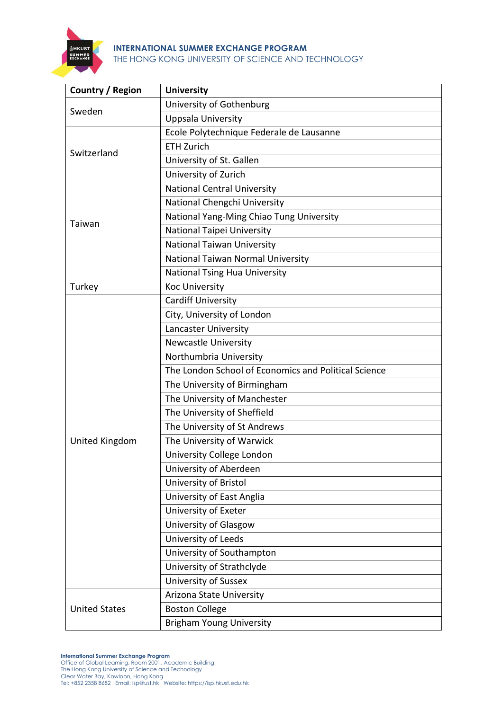

| Country / Region      | <b>University</b>                                    |
|-----------------------|------------------------------------------------------|
| Sweden                | University of Gothenburg                             |
|                       | Uppsala University                                   |
| Switzerland           | Ecole Polytechnique Federale de Lausanne             |
|                       | <b>ETH Zurich</b>                                    |
|                       | University of St. Gallen                             |
|                       | University of Zurich                                 |
|                       | <b>National Central University</b>                   |
|                       | National Chengchi University                         |
|                       | National Yang-Ming Chiao Tung University             |
| Taiwan                | National Taipei University                           |
|                       | <b>National Taiwan University</b>                    |
|                       | National Taiwan Normal University                    |
|                       | National Tsing Hua University                        |
| Turkey                | <b>Koc University</b>                                |
|                       | <b>Cardiff University</b>                            |
|                       | City, University of London                           |
|                       | <b>Lancaster University</b>                          |
|                       | <b>Newcastle University</b>                          |
|                       | Northumbria University                               |
|                       | The London School of Economics and Political Science |
|                       | The University of Birmingham                         |
|                       | The University of Manchester                         |
|                       | The University of Sheffield                          |
|                       | The University of St Andrews                         |
| <b>United Kingdom</b> | The University of Warwick                            |
|                       | University College London                            |
|                       | University of Aberdeen                               |
|                       | University of Bristol                                |
|                       | University of East Anglia                            |
|                       | University of Exeter                                 |
|                       | University of Glasgow                                |
|                       | University of Leeds                                  |
|                       | University of Southampton                            |
|                       | University of Strathclyde                            |
|                       | <b>University of Sussex</b>                          |
| <b>United States</b>  | Arizona State University                             |
|                       | <b>Boston College</b>                                |
|                       | <b>Brigham Young University</b>                      |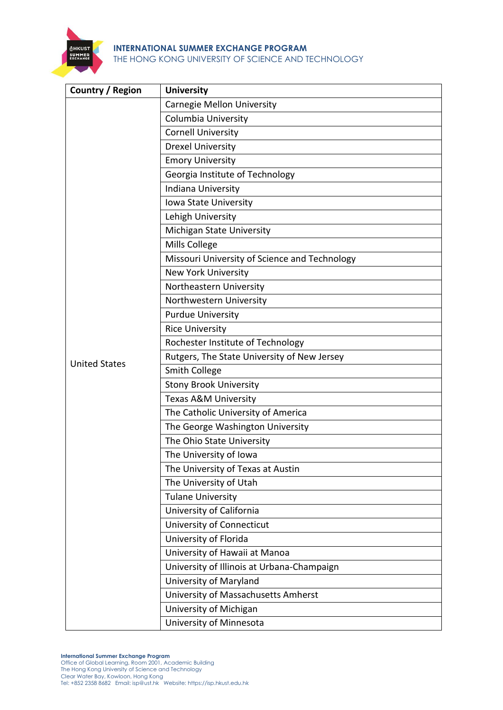

| Country / Region     | <b>University</b>                             |
|----------------------|-----------------------------------------------|
|                      | Carnegie Mellon University                    |
|                      | Columbia University                           |
|                      | <b>Cornell University</b>                     |
|                      | <b>Drexel University</b>                      |
|                      | <b>Emory University</b>                       |
|                      | Georgia Institute of Technology               |
|                      | Indiana University                            |
|                      | Iowa State University                         |
|                      | Lehigh University                             |
|                      | Michigan State University                     |
|                      | Mills College                                 |
|                      | Missouri University of Science and Technology |
|                      | <b>New York University</b>                    |
|                      | Northeastern University                       |
|                      | Northwestern University                       |
|                      | <b>Purdue University</b>                      |
|                      | <b>Rice University</b>                        |
|                      | Rochester Institute of Technology             |
| <b>United States</b> | Rutgers, The State University of New Jersey   |
|                      | <b>Smith College</b>                          |
|                      | <b>Stony Brook University</b>                 |
|                      | Texas A&M University                          |
|                      | The Catholic University of America            |
|                      | The George Washington University              |
|                      | The Ohio State University                     |
|                      | The University of Iowa                        |
|                      | The University of Texas at Austin             |
|                      | The University of Utah                        |
|                      | <b>Tulane University</b>                      |
|                      | University of California                      |
|                      | University of Connecticut                     |
|                      | University of Florida                         |
|                      | University of Hawaii at Manoa                 |
|                      | University of Illinois at Urbana-Champaign    |
|                      | University of Maryland                        |
|                      | University of Massachusetts Amherst           |
|                      | University of Michigan                        |
|                      | University of Minnesota                       |